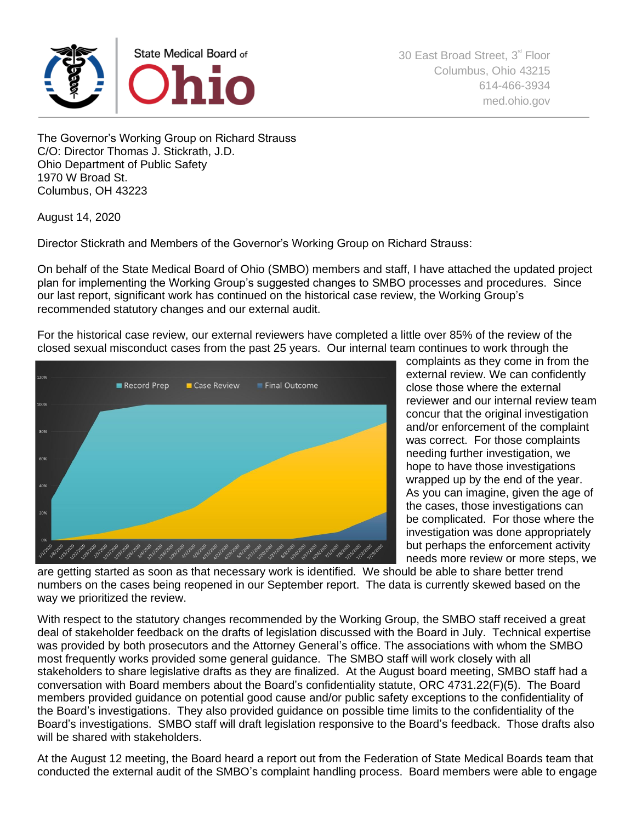

The Governor's Working Group on Richard Strauss C/O: Director Thomas J. Stickrath, J.D. Ohio Department of Public Safety 1970 W Broad St. Columbus, OH 43223

August 14, 2020

Director Stickrath and Members of the Governor's Working Group on Richard Strauss:

On behalf of the State Medical Board of Ohio (SMBO) members and staff, I have attached the updated project plan for implementing the Working Group's suggested changes to SMBO processes and procedures. Since our last report, significant work has continued on the historical case review, the Working Group's recommended statutory changes and our external audit.

For the historical case review, our external reviewers have completed a little over 85% of the review of the closed sexual misconduct cases from the past 25 years. Our internal team continues to work through the



complaints as they come in from the external review. We can confidently close those where the external reviewer and our internal review team concur that the original investigation and/or enforcement of the complaint was correct. For those complaints needing further investigation, we hope to have those investigations wrapped up by the end of the year. As you can imagine, given the age of the cases, those investigations can be complicated. For those where the investigation was done appropriately but perhaps the enforcement activity needs more review or more steps, we

are getting started as soon as that necessary work is identified. We should be able to share better trend numbers on the cases being reopened in our September report. The data is currently skewed based on the way we prioritized the review.

With respect to the statutory changes recommended by the Working Group, the SMBO staff received a great deal of stakeholder feedback on the drafts of legislation discussed with the Board in July. Technical expertise was provided by both prosecutors and the Attorney General's office. The associations with whom the SMBO most frequently works provided some general guidance. The SMBO staff will work closely with all stakeholders to share legislative drafts as they are finalized. At the August board meeting, SMBO staff had a conversation with Board members about the Board's confidentiality statute, ORC 4731.22(F)(5). The Board members provided guidance on potential good cause and/or public safety exceptions to the confidentiality of the Board's investigations. They also provided guidance on possible time limits to the confidentiality of the Board's investigations. SMBO staff will draft legislation responsive to the Board's feedback. Those drafts also will be shared with stakeholders.

At the August 12 meeting, the Board heard a report out from the Federation of State Medical Boards team that conducted the external audit of the SMBO's complaint handling process. Board members were able to engage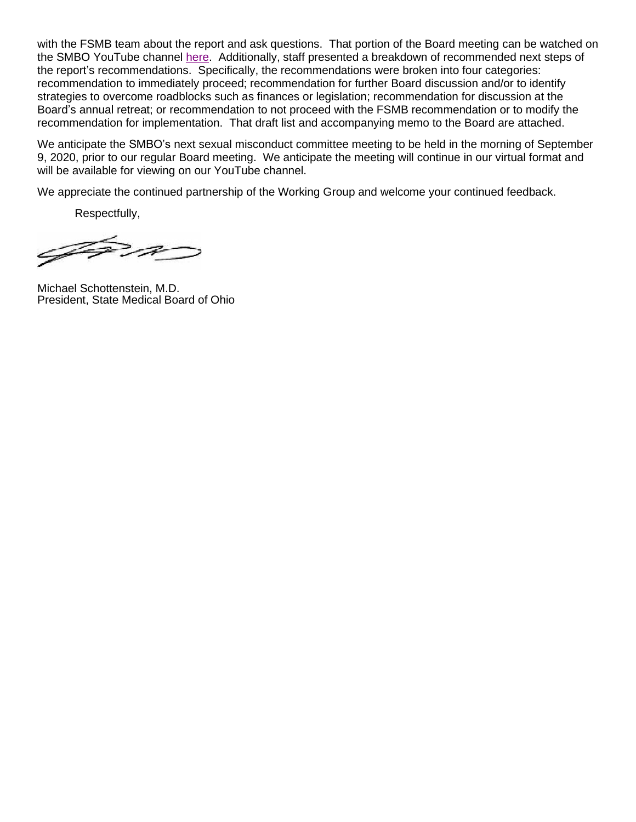with the FSMB team about the report and ask questions. That portion of the Board meeting can be watched on the SMBO YouTube channel [here.](https://www.youtube.com/watch?v=TlGjt_Wzv8s) Additionally, staff presented a breakdown of recommended next steps of the report's recommendations. Specifically, the recommendations were broken into four categories: recommendation to immediately proceed; recommendation for further Board discussion and/or to identify strategies to overcome roadblocks such as finances or legislation; recommendation for discussion at the Board's annual retreat; or recommendation to not proceed with the FSMB recommendation or to modify the recommendation for implementation. That draft list and accompanying memo to the Board are attached.

We anticipate the SMBO's next sexual misconduct committee meeting to be held in the morning of September 9, 2020, prior to our regular Board meeting. We anticipate the meeting will continue in our virtual format and will be available for viewing on our YouTube channel.

We appreciate the continued partnership of the Working Group and welcome your continued feedback.

Respectfully,

AP P

Michael Schottenstein, M.D. President, State Medical Board of Ohio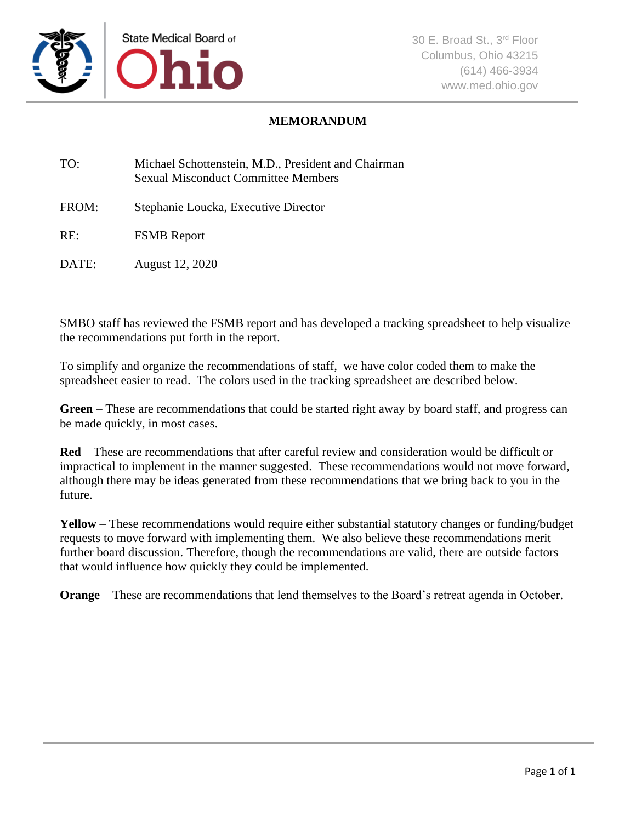

## **MEMORANDUM**

| TO:   | Michael Schottenstein, M.D., President and Chairman<br><b>Sexual Misconduct Committee Members</b> |
|-------|---------------------------------------------------------------------------------------------------|
| FROM: | Stephanie Loucka, Executive Director                                                              |
| RE:   | <b>FSMB</b> Report                                                                                |
| DATE: | August 12, 2020                                                                                   |

SMBO staff has reviewed the FSMB report and has developed a tracking spreadsheet to help visualize the recommendations put forth in the report.

To simplify and organize the recommendations of staff, we have color coded them to make the spreadsheet easier to read. The colors used in the tracking spreadsheet are described below.

**Green** – These are recommendations that could be started right away by board staff, and progress can be made quickly, in most cases.

**Red** – These are recommendations that after careful review and consideration would be difficult or impractical to implement in the manner suggested. These recommendations would not move forward, although there may be ideas generated from these recommendations that we bring back to you in the future.

**Yellow** – These recommendations would require either substantial statutory changes or funding/budget requests to move forward with implementing them. We also believe these recommendations merit further board discussion. Therefore, though the recommendations are valid, there are outside factors that would influence how quickly they could be implemented.

**Orange** – These are recommendations that lend themselves to the Board's retreat agenda in October.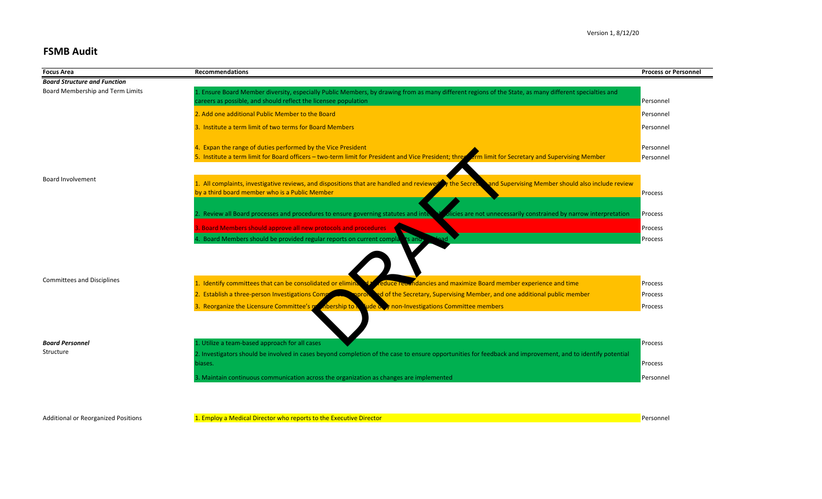# **FSMB Audit**

| <b>Focus Area</b>                   | <b>Recommendations</b>                                                                                                                                                | <b>Process or Personnel</b> |
|-------------------------------------|-----------------------------------------------------------------------------------------------------------------------------------------------------------------------|-----------------------------|
| <b>Board Structure and Function</b> |                                                                                                                                                                       |                             |
| Board Membership and Term Limits    | 1. Ensure Board Member diversity, especially Public Members, by drawing from as many different regions of the State, as many different specialties and                |                             |
|                                     | careers as possible, and should reflect the licensee population                                                                                                       | Personnel                   |
|                                     | 2. Add one additional Public Member to the Board                                                                                                                      | Personnel                   |
|                                     | 3. Institute a term limit of two terms for Board Members                                                                                                              | Personnel                   |
|                                     | 4. Expan the range of duties performed by the Vice President                                                                                                          | Personnel                   |
|                                     | 5. Institute a term limit for Board officers - two-term limit for President and Vice President; three Lerm limit for Secretary and Supervising Member                 | Personnel                   |
|                                     |                                                                                                                                                                       |                             |
| <b>Board Involvement</b>            | 1. All complaints, investigative reviews, and dispositions that are handled and reviewed y the Secret.<br>and Supervising Member should also include review           |                             |
|                                     | by a third board member who is a Public Member                                                                                                                        | Process                     |
|                                     |                                                                                                                                                                       |                             |
|                                     | Review all Board processes and procedures to ensure governing statutes and inter-<br>icies are not unnecessarily constrained by narrow interpretation                 | Process                     |
|                                     | 3. Board Members should approve all new protocols and procedures                                                                                                      | Process                     |
|                                     | 4. Board Members should be provided regular reports on current complants and                                                                                          | Process                     |
|                                     |                                                                                                                                                                       |                             |
| <b>Committees and Disciplines</b>   |                                                                                                                                                                       |                             |
|                                     | 1. Identify committees that can be consolidated or elimin<br>duce reaundancies and maximize Board member experience and time                                          | Process                     |
|                                     | 2. Establish a three-person Investigations Comp<br>d of the Secretary, Supervising Member, and one additional public member                                           | Process                     |
|                                     | 3. Reorganize the Licensure Committee's m<br>pership to <b>r</b><br>ude over non-Investigations Committee members                                                     | Process                     |
|                                     |                                                                                                                                                                       |                             |
| <b>Board Personnel</b>              | 1. Utilize a team-based approach for all cases                                                                                                                        | Process                     |
| Structure                           |                                                                                                                                                                       |                             |
|                                     | 2. Investigators should be involved in cases beyond completion of the case to ensure opportunities for feedback and improvement, and to identify potential<br>biases. | Process                     |
|                                     | 3. Maintain continuous communication across the organization as changes are implemented                                                                               | Personnel                   |
|                                     |                                                                                                                                                                       |                             |

Additional or Reorganized Positions **1. Employ a Medical Director who reports to the Executive Director** Personnel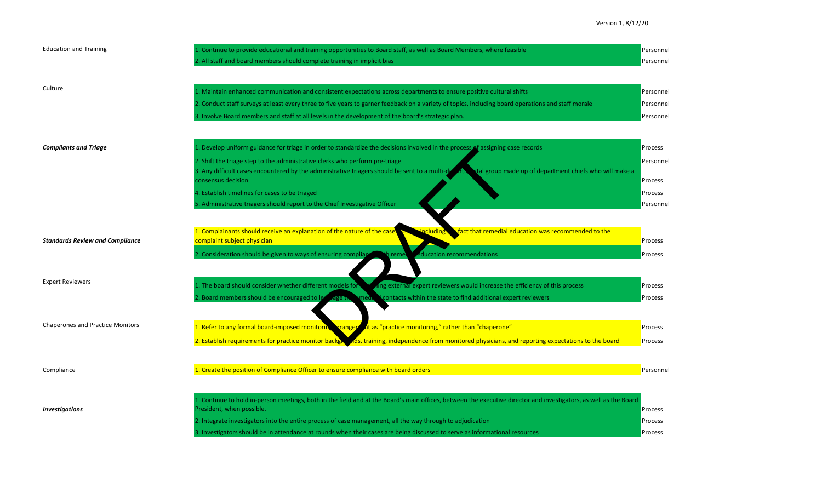| <b>Education and Training</b>           | Continue to provide educational and training opportunities to Board staff, as well as Board Members, where feasible<br>2. All staff and board members should complete training in implicit bias                                                                                                                                                                                                                                                                                                                                                   | Personnel<br>Personnel                                  |
|-----------------------------------------|---------------------------------------------------------------------------------------------------------------------------------------------------------------------------------------------------------------------------------------------------------------------------------------------------------------------------------------------------------------------------------------------------------------------------------------------------------------------------------------------------------------------------------------------------|---------------------------------------------------------|
| Culture                                 | 1. Maintain enhanced communication and consistent expectations across departments to ensure positive cultural shifts<br>2. Conduct staff surveys at least every three to five years to garner feedback on a variety of topics, including board operations and staff morale<br>3. Involve Board members and staff at all levels in the development of the board's strategic plan.                                                                                                                                                                  | Personnel<br>Personnel<br>Personnel                     |
| <b>Compliants and Triage</b>            | 1. Develop uniform guidance for triage in order to standardize the decisions involved in the process of assigning case records<br>2. Shift the triage step to the administrative clerks who perform pre-triage<br>3. Any difficult cases encountered by the administrative triagers should be sent to a multi-de<br>$\mathbf{1}$<br>tal group made up of department chiefs who will make a<br>consensus decision<br>4. Establish timelines for cases to be triaged<br>5. Administrative triagers should report to the Chief Investigative Officer | Process<br>Personnel<br>Process<br>Process<br>Personnel |
| <b>Standards Review and Compliance</b>  | 1. Complainants should receive an explanation of the nature of the case<br>fact that remedial education was recommended to the<br>acluding<br>complaint subject physician<br>. Consideration should be given to ways of ensuring complia<br>ducation recommendations<br>remet                                                                                                                                                                                                                                                                     | Process<br>Process                                      |
| <b>Expert Reviewers</b>                 | The board should consider whether different models for<br>ing external expert reviewers would increase the efficiency of this process<br>2. Board members should be encouraged to le<br>contacts within the state to find additional expert reviewers<br>aget                                                                                                                                                                                                                                                                                     | Process<br>Process                                      |
| <b>Chaperones and Practice Monitors</b> | 1. Refer to any formal board-imposed monitorin, rangep<br>At as "practice monitoring," rather than "chaperone"<br>2. Establish requirements for practice monitor backg<br>Is, training, independence from monitored physicians, and reporting expectations to the board                                                                                                                                                                                                                                                                           | Process<br>Process                                      |
| Compliance                              | 1. Create the position of Compliance Officer to ensure compliance with board orders                                                                                                                                                                                                                                                                                                                                                                                                                                                               | Personnel                                               |
| <b>Investigations</b>                   | 1. Continue to hold in-person meetings, both in the field and at the Board's main offices, between the executive director and investigators, as well as the Board<br>President, when possible.<br>2. Integrate investigators into the entire process of case management, all the way through to adjudication<br>3. Investigators should be in attendance at rounds when their cases are being discussed to serve as informational resources                                                                                                       | Process<br>Process<br>Process                           |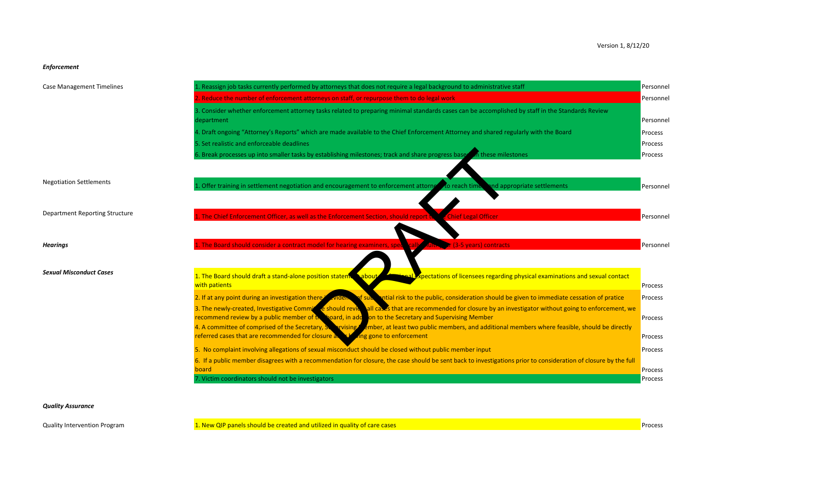### *Enforcement*

| <b>Case Management Timelines</b>      | L. Reassign job tasks currently performed by attorneys that does not require a legal background to administrative staff                                                  | Personnel                 |
|---------------------------------------|--------------------------------------------------------------------------------------------------------------------------------------------------------------------------|---------------------------|
|                                       | 2. Reduce the number of enforcement attorneys on staff, or repurpose them to do legal work                                                                               | Personnel                 |
|                                       | 3. Consider whether enforcement attorney tasks related to preparing minimal standards cases can be accomplished by staff in the Standards Review<br>department           | Personnel                 |
|                                       | 4. Draft ongoing "Attorney's Reports" which are made available to the Chief Enforcement Attorney and shared regularly with the Board                                     | Process                   |
|                                       | 5. Set realistic and enforceable deadlines                                                                                                                               | Process                   |
|                                       | 6. Break processes up into smaller tasks by establishing milestones; track and share progress based in these milestones                                                  | Process                   |
| <b>Negotiation Settlements</b>        |                                                                                                                                                                          |                           |
|                                       | . Offer training in settlement negotiation and encouragement to enforcement attorned to reach time<br>nd appropriate settlements                                         | Personnel                 |
|                                       |                                                                                                                                                                          |                           |
| <b>Department Reporting Structure</b> | 1. The Chief Enforcement Officer, as well as the Enforcement Section, should report it<br><b>Chief Legal Officer</b>                                                     | Personnel                 |
|                                       |                                                                                                                                                                          |                           |
| <b>Hearings</b>                       | The Board should consider a contract model for hearing examiners, sped<br>(3-5 years) contracts                                                                          | Personnel                 |
|                                       |                                                                                                                                                                          |                           |
| <b>Sexual Misconduct Cases</b>        | 1. The Board should draft a stand-alone position statem<br>pectations of licensees regarding physical examinations and sexual contact<br>$\lambda$ abou<br>with patients | Process                   |
|                                       | 2. If at any point during an investigation there<br>ntial risk to the public, consideration should be given to immediate cessation of pratice<br>of sub.<br><b>viden</b> | Process                   |
|                                       | 3. The newly-created, Investigative Comming eshould revie all cases that are recommended for closure by an investigator without going to enforcement, we                 |                           |
|                                       | recommend review by a public member of the board, in add on to the Secretary and Supervising Member                                                                      | Process                   |
|                                       | 4. A committee of comprised of the Secretary, Servising ember, at least two public members, and additional members where feasible, should be directly                    |                           |
|                                       | referred cases that are recommended for closure and the<br><b>Ang gone to enforcement</b>                                                                                | Process                   |
|                                       | 5. No complaint involving allegations of sexual misconduct should be closed without public member input                                                                  | Process                   |
|                                       | 6. If a public member disagrees with a recommendation for closure, the case should be sent back to investigations prior to consideration of closure by the full          |                           |
|                                       | board<br>7. Victim coordinators should not be investigators                                                                                                              | Process<br><b>Process</b> |

### *Quality Assurance*

Quality Intervention Program 1. New QIP panels should be created and utilized in quality of care cases Process Process Process Process Process Process Process Process Process Process Process Process Process Process Process